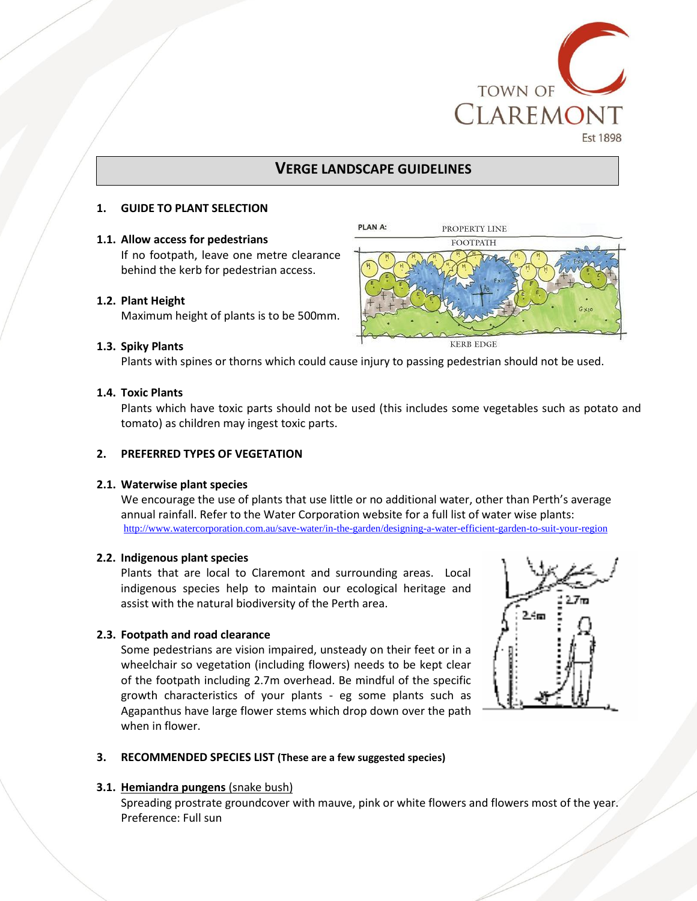

## **VERGE LANDSCAPE GUIDELINES**

## **1. GUIDE TO PLANT SELECTION**

## **1.1. Allow access for pedestrians**

If no footpath, leave one metre clearance behind the kerb for pedestrian access.

## **1.2. Plant Height**

Maximum height of plants is to be 500mm.

#### **1.3. Spiky Plants**

Plants with spines or thorns which could cause injury to passing pedestrian should not be used.

#### **1.4. Toxic Plants**

 Plants which have toxic parts should not be used (this includes some vegetables such as potato and tomato) as children may ingest toxic parts.

#### **2. PREFERRED TYPES OF VEGETATION**

#### **2.1. Waterwise plant species**

We encourage the use of plants that use little or no additional water, other than Perth's average annual rainfall. Refer to the Water Corporation website for a full list of water wise plants: <http://www.watercorporation.com.au/save-water/in-the-garden/designing-a-water-efficient-garden-to-suit-your-region>

#### **2.2. Indigenous plant species**

Plants that are local to Claremont and surrounding areas. Local indigenous species help to maintain our ecological heritage and assist with the natural biodiversity of the Perth area.

#### **2.3. Footpath and road clearance**

 Some pedestrians are vision impaired, unsteady on their feet or in a wheelchair so vegetation (including flowers) needs to be kept clear of the footpath including 2.7m overhead. Be mindful of the specific growth characteristics of your plants - eg some plants such as Agapanthus have large flower stems which drop down over the path when in flower.



#### **3. RECOMMENDED SPECIES LIST (These are a few suggested species)**

#### **3.1. Hemiandra pungens** (snake bush)

Spreading prostrate groundcover with mauve, pink or white flowers and flowers most of the year. Preference: Full sun

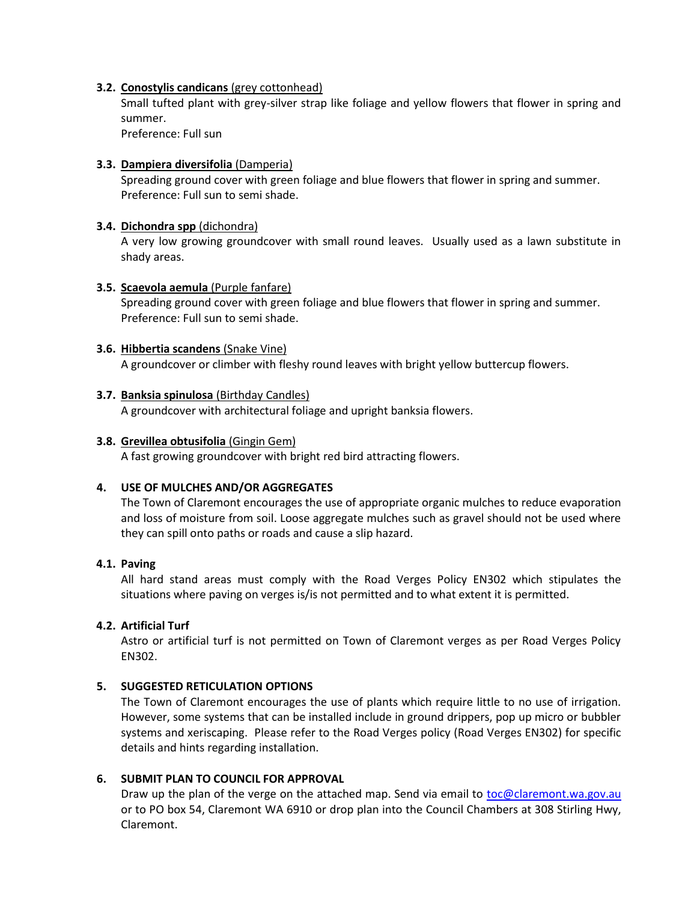## **3.2. Conostylis candicans** (grey cottonhead)

 Small tufted plant with grey-silver strap like foliage and yellow flowers that flower in spring and summer.

Preference: Full sun

## **3.3. Dampiera diversifolia** (Damperia)

 Spreading ground cover with green foliage and blue flowers that flower in spring and summer. Preference: Full sun to semi shade.

## **3.4. Dichondra spp** (dichondra)

 A very low growing groundcover with small round leaves. Usually used as a lawn substitute in shady areas.

## **3.5. Scaevola aemula** (Purple fanfare)

 Spreading ground cover with green foliage and blue flowers that flower in spring and summer. Preference: Full sun to semi shade.

## **3.6. Hibbertia scandens** (Snake Vine)

A groundcover or climber with fleshy round leaves with bright yellow buttercup flowers.

## **3.7. Banksia spinulosa** (Birthday Candles)

A groundcover with architectural foliage and upright banksia flowers.

## **3.8. Grevillea obtusifolia** (Gingin Gem)

A fast growing groundcover with bright red bird attracting flowers.

## **4. USE OF MULCHES AND/OR AGGREGATES**

The Town of Claremont encourages the use of appropriate organic mulches to reduce evaporation and loss of moisture from soil. Loose aggregate mulches such as gravel should not be used where they can spill onto paths or roads and cause a slip hazard.

## **4.1. Paving**

 All hard stand areas must comply with the Road Verges Policy EN302 which stipulates the situations where paving on verges is/is not permitted and to what extent it is permitted.

## **4.2. Artificial Turf**

Astro or artificial turf is not permitted on Town of Claremont verges as per Road Verges Policy EN302.

## **5. SUGGESTED RETICULATION OPTIONS**

 The Town of Claremont encourages the use of plants which require little to no use of irrigation. However, some systems that can be installed include in ground drippers, pop up micro or bubbler systems and xeriscaping. Please refer to the Road Verges policy (Road Verges EN302) for specific details and hints regarding installation.

## **6. SUBMIT PLAN TO COUNCIL FOR APPROVAL**

Draw up the plan of the verge on the attached map. Send via email to **toc@claremont.wa.gov.au** or to PO box 54, Claremont WA 6910 or drop plan into the Council Chambers at 308 Stirling Hwy, Claremont.